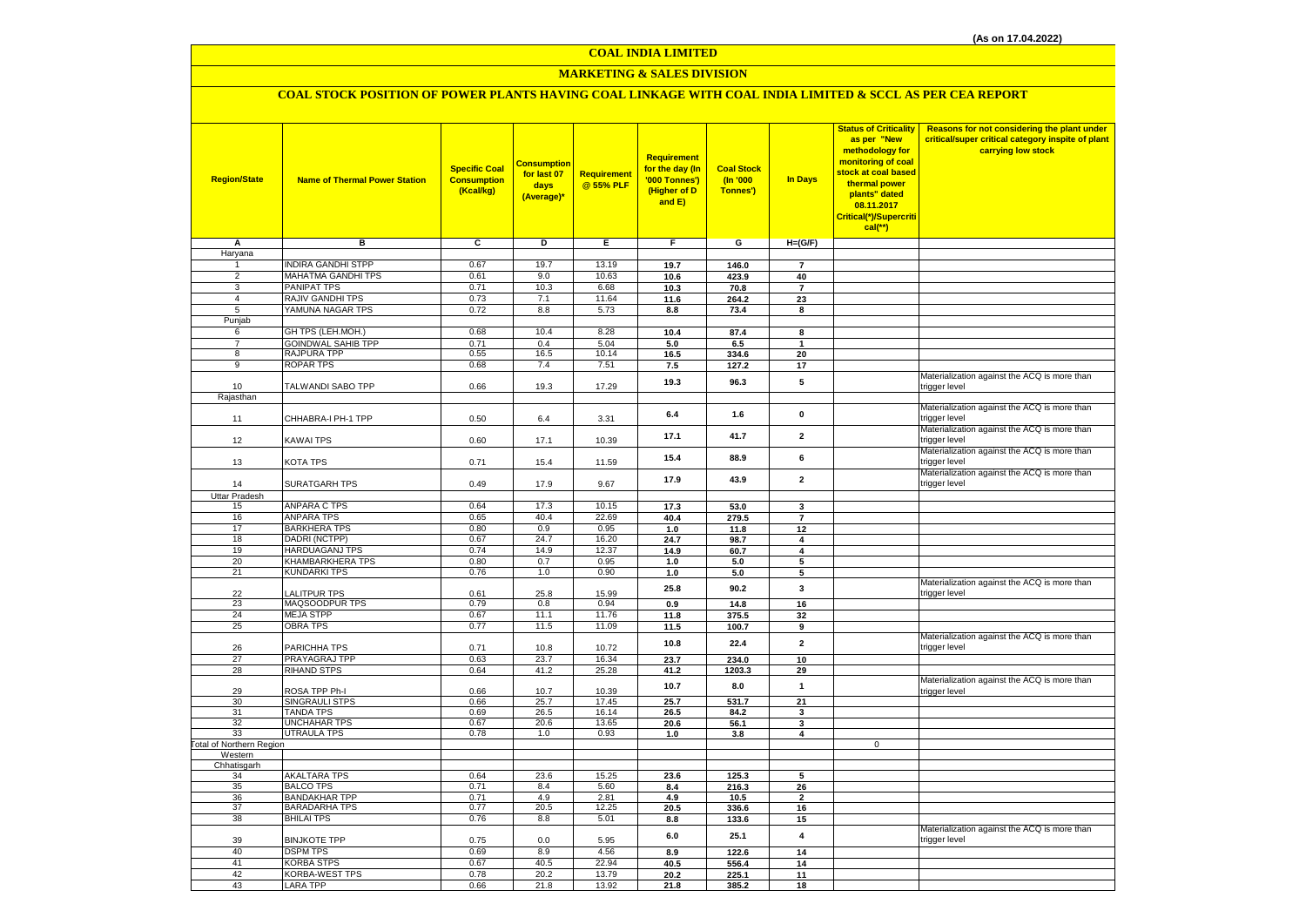# **MARKETING & SALES DIVISION**

# **COAL STOCK POSITION OF POWER PLANTS HAVING COAL LINKAGE WITH COAL INDIA LIMITED & SCCL AS PER CEA REPORT**

| <b>Region/State</b>             | <b>Name of Thermal Power Station</b> | <b>Specific Coal</b><br><b>Consumption</b><br>(Kcal/kg) | Consumption<br>for last 07<br>days<br>(Average)* | Requirement<br>@ 55% PLF | Requirement<br>for the day (In<br>'000 Tonnes')<br>(Higher of D<br>and E) | <b>Coal Stock</b><br>(In '000<br>Tonnes') | <b>In Days</b>          | <b>Status of Criticality</b><br>as per "New<br>methodology for<br>monitoring of coal<br>stock at coal based<br>thermal power<br>plants" dated<br>08.11.2017<br>Critical(*)/Supercriti<br>$cal$ (**) | Reasons for not considering the plant under<br>critical/super critical category inspite of plant<br>carrying low stock |
|---------------------------------|--------------------------------------|---------------------------------------------------------|--------------------------------------------------|--------------------------|---------------------------------------------------------------------------|-------------------------------------------|-------------------------|-----------------------------------------------------------------------------------------------------------------------------------------------------------------------------------------------------|------------------------------------------------------------------------------------------------------------------------|
| Α                               | в                                    | c                                                       | D                                                | Е                        | F.                                                                        | G                                         | $H=(G/F)$               |                                                                                                                                                                                                     |                                                                                                                        |
| Haryana                         |                                      |                                                         |                                                  |                          |                                                                           |                                           |                         |                                                                                                                                                                                                     |                                                                                                                        |
| 1                               | <b>INDIRA GANDHI STPP</b>            | 0.67                                                    | 19.7                                             | 13.19                    | 19.7                                                                      | 146.0                                     | $\overline{7}$          |                                                                                                                                                                                                     |                                                                                                                        |
| $\overline{2}$                  | MAHATMA GANDHI TPS                   | 0.61                                                    | 9.0                                              | 10.63                    | 10.6                                                                      | 423.9                                     | 40                      |                                                                                                                                                                                                     |                                                                                                                        |
| $\overline{3}$                  | PANIPAT TPS                          | 0.71                                                    | 10.3                                             | 6.68                     | 10.3                                                                      | 70.8                                      | $\overline{7}$          |                                                                                                                                                                                                     |                                                                                                                        |
| $\overline{4}$                  | RAJIV GANDHI TPS                     | 0.73                                                    | 7.1                                              | 11.64                    | 11.6                                                                      | 264.2                                     | 23                      |                                                                                                                                                                                                     |                                                                                                                        |
| 5                               | YAMUNA NAGAR TPS                     | 0.72                                                    | 8.8                                              | 5.73                     | $\bf 8.8$                                                                 | 73.4                                      | 8                       |                                                                                                                                                                                                     |                                                                                                                        |
| Punjab<br>6                     | GH TPS (LEH.MOH.)                    | 0.68                                                    | 10.4                                             | 8.28                     | 10.4                                                                      | 87.4                                      | 8                       |                                                                                                                                                                                                     |                                                                                                                        |
| $\overline{7}$                  | <b>GOINDWAL SAHIB TPP</b>            | 0.71                                                    | 0.4                                              | 5.04                     | 5.0                                                                       | 6.5                                       |                         |                                                                                                                                                                                                     |                                                                                                                        |
| 8                               | RAJPURA TPP                          | 0.55                                                    | 16.5                                             | 10.14                    | 16.5                                                                      | 334.6                                     | 20                      |                                                                                                                                                                                                     |                                                                                                                        |
| $\overline{9}$                  | <b>ROPAR TPS</b>                     | 0.68                                                    | 7.4                                              | 7.51                     | 7.5                                                                       | 127.2                                     | 17                      |                                                                                                                                                                                                     |                                                                                                                        |
|                                 |                                      |                                                         |                                                  |                          |                                                                           |                                           |                         |                                                                                                                                                                                                     | Materialization against the ACQ is more than                                                                           |
| 10                              | TALWANDI SABO TPP                    | 0.66                                                    | 19.3                                             | 17.29                    | 19.3                                                                      | 96.3                                      | 5                       |                                                                                                                                                                                                     | trigger level                                                                                                          |
| Rajasthan                       |                                      |                                                         |                                                  |                          |                                                                           |                                           |                         |                                                                                                                                                                                                     |                                                                                                                        |
|                                 |                                      |                                                         |                                                  |                          | 6.4                                                                       | 1.6                                       | $\pmb{0}$               |                                                                                                                                                                                                     | Materialization against the ACQ is more than                                                                           |
| 11                              | CHHABRA-I PH-1 TPP                   | 0.50                                                    | 6.4                                              | 3.31                     |                                                                           |                                           |                         |                                                                                                                                                                                                     | trigger level                                                                                                          |
|                                 |                                      |                                                         |                                                  |                          | 17.1                                                                      | 41.7                                      | $\overline{2}$          |                                                                                                                                                                                                     | Materialization against the ACQ is more than                                                                           |
| 12                              | KAWAI TPS                            | 0.60                                                    | 17.1                                             | 10.39                    |                                                                           |                                           |                         |                                                                                                                                                                                                     | trigger level                                                                                                          |
|                                 |                                      |                                                         |                                                  |                          | 15.4                                                                      | 88.9                                      | 6                       |                                                                                                                                                                                                     | Materialization against the ACQ is more than                                                                           |
| 13                              | KOTA TPS                             | 0.71                                                    | 15.4                                             | 11.59                    |                                                                           |                                           |                         |                                                                                                                                                                                                     | trigger level<br>Materialization against the ACQ is more than                                                          |
| 14                              | <b>SURATGARH TPS</b>                 | 0.49                                                    | 17.9                                             | 9.67                     | 17.9                                                                      | 43.9                                      | $\overline{\mathbf{2}}$ |                                                                                                                                                                                                     | trigger level                                                                                                          |
| <b>Uttar Pradesh</b>            |                                      |                                                         |                                                  |                          |                                                                           |                                           |                         |                                                                                                                                                                                                     |                                                                                                                        |
| 15                              | <b>ANPARA C TPS</b>                  | 0.64                                                    | 17.3                                             | 10.15                    | 17.3                                                                      | 53.0                                      | 3                       |                                                                                                                                                                                                     |                                                                                                                        |
| 16                              | <b>ANPARA TPS</b>                    | 0.65                                                    | 40.4                                             | 22.69                    | 40.4                                                                      | 279.5                                     | $\overline{7}$          |                                                                                                                                                                                                     |                                                                                                                        |
| 17                              | <b>BARKHERA TPS</b>                  | 0.80                                                    | 0.9                                              | 0.95                     | 1.0                                                                       | 11.8                                      | 12                      |                                                                                                                                                                                                     |                                                                                                                        |
| 18                              | DADRI (NCTPP)                        | 0.67                                                    | 24.7                                             | 16.20                    | 24.7                                                                      | 98.7                                      | 4                       |                                                                                                                                                                                                     |                                                                                                                        |
| 19                              | HARDUAGANJ TPS                       | 0.74                                                    | 14.9                                             | 12.37                    | 14.9                                                                      | 60.7                                      | $\overline{\mathbf{4}}$ |                                                                                                                                                                                                     |                                                                                                                        |
| 20                              | KHAMBARKHERA TPS                     | 0.80                                                    | 0.7                                              | 0.95                     | 1.0                                                                       | 5.0                                       | 5                       |                                                                                                                                                                                                     |                                                                                                                        |
| 21                              | <b>KUNDARKI TPS</b>                  | 0.76                                                    | 1.0                                              | 0.90                     | 1.0                                                                       | 5.0                                       | 5                       |                                                                                                                                                                                                     |                                                                                                                        |
|                                 |                                      |                                                         |                                                  |                          | 25.8                                                                      | 90.2                                      | 3                       |                                                                                                                                                                                                     | Materialization against the ACQ is more than                                                                           |
| 22                              | <b>ALITPUR TPS</b>                   | 0.61                                                    | 25.8                                             | 15.99                    |                                                                           |                                           |                         |                                                                                                                                                                                                     | trigger level                                                                                                          |
| 23<br>24                        | MAQSOODPUR TPS<br><b>MEJA STPP</b>   | 0.79<br>0.67                                            | 0.8<br>11.1                                      | 0.94<br>11.76            | 0.9                                                                       | 14.8                                      | 16                      |                                                                                                                                                                                                     |                                                                                                                        |
| 25                              | <b>OBRA TPS</b>                      | 0.77                                                    | 11.5                                             | 11.09                    | 11.8<br>11.5                                                              | 375.5<br>100.7                            | 32<br>9                 |                                                                                                                                                                                                     |                                                                                                                        |
|                                 |                                      |                                                         |                                                  |                          |                                                                           |                                           |                         |                                                                                                                                                                                                     | Materialization against the ACQ is more than                                                                           |
| 26                              | PARICHHA TPS                         | 0.71                                                    | 10.8                                             | 10.72                    | 10.8                                                                      | 22.4                                      | $\overline{\mathbf{2}}$ |                                                                                                                                                                                                     | trigger level                                                                                                          |
| 27                              | PRAYAGRAJ TPP                        | 0.63                                                    | 23.7                                             | 16.34                    | 23.7                                                                      | 234.0                                     | 10                      |                                                                                                                                                                                                     |                                                                                                                        |
| 28                              | <b>RIHAND STPS</b>                   | 0.64                                                    | 41.2                                             | 25.28                    | 41.2                                                                      | 1203.3                                    | 29                      |                                                                                                                                                                                                     |                                                                                                                        |
|                                 |                                      |                                                         |                                                  |                          | 10.7                                                                      | 8.0                                       | $\mathbf{1}$            |                                                                                                                                                                                                     | Materialization against the ACQ is more than                                                                           |
| 29                              | ROSA TPP Ph-I                        | 0.66                                                    | 10.7                                             | 10.39                    |                                                                           |                                           |                         |                                                                                                                                                                                                     | trigger level                                                                                                          |
| 30                              | SINGRAULI STPS                       | 0.66                                                    | 25.7                                             | 17.45                    | 25.7                                                                      | 531.7                                     | 21                      |                                                                                                                                                                                                     |                                                                                                                        |
| 31                              | <b>TANDA TPS</b><br>UNCHAHAR TPS     | 0.69                                                    | 26.5                                             | 16.14                    | 26.5                                                                      | 84.2                                      | 3                       |                                                                                                                                                                                                     |                                                                                                                        |
| 32<br>33                        | <b>UTRAULA TPS</b>                   | 0.67<br>0.78                                            | 20.6<br>1.0                                      | 13.65<br>0.93            | 20.6<br>1.0                                                               | 56.1                                      | 3<br>4                  |                                                                                                                                                                                                     |                                                                                                                        |
| <b>Total of Northern Region</b> |                                      |                                                         |                                                  |                          |                                                                           | 3.8                                       |                         | $\mathbf 0$                                                                                                                                                                                         |                                                                                                                        |
| Western                         |                                      |                                                         |                                                  |                          |                                                                           |                                           |                         |                                                                                                                                                                                                     |                                                                                                                        |
| Chhatisgarh                     |                                      |                                                         |                                                  |                          |                                                                           |                                           |                         |                                                                                                                                                                                                     |                                                                                                                        |
| 34                              | <b>AKALTARA TPS</b>                  | 0.64                                                    | 23.6                                             | 15.25                    | 23.6                                                                      | 125.3                                     | 5                       |                                                                                                                                                                                                     |                                                                                                                        |
| 35                              | <b>BALCO TPS</b>                     | 0.71                                                    | 8.4                                              | 5.60                     | 8.4                                                                       | 216.3                                     | 26                      |                                                                                                                                                                                                     |                                                                                                                        |
| 36                              | <b>BANDAKHAR TPP</b>                 | 0.71                                                    | 4.9                                              | 2.81                     | 4.9                                                                       | 10.5                                      | $\overline{2}$          |                                                                                                                                                                                                     |                                                                                                                        |
| 37                              | <b>BARADARHA TPS</b>                 | 0.77                                                    | 20.5                                             | 12.25                    | 20.5                                                                      | 336.6                                     | 16                      |                                                                                                                                                                                                     |                                                                                                                        |
| 38                              | <b>BHILAI TPS</b>                    | 0.76                                                    | 8.8                                              | 5.01                     | 8.8                                                                       | 133.6                                     | 15                      |                                                                                                                                                                                                     |                                                                                                                        |
| 39                              | <b>BINJKOTE TPP</b>                  | 0.75                                                    | 0.0                                              | 5.95                     | 6.0                                                                       | 25.1                                      | 4                       |                                                                                                                                                                                                     | Materialization against the ACQ is more than<br>trigger level                                                          |
| 40                              | <b>DSPM TPS</b>                      | 0.69                                                    | 8.9                                              | 4.56                     | 8.9                                                                       | 122.6                                     | 14                      |                                                                                                                                                                                                     |                                                                                                                        |
| 41                              | <b>KORBA STPS</b>                    | 0.67                                                    | 40.5                                             | 22.94                    | 40.5                                                                      | 556.4                                     | 14                      |                                                                                                                                                                                                     |                                                                                                                        |
| 42                              | KORBA-WEST TPS                       | 0.78                                                    | 20.2                                             | 13.79                    | 20.2                                                                      | 225.1                                     | 11                      |                                                                                                                                                                                                     |                                                                                                                        |
| 43                              | <b>LARA TPP</b>                      | 0.66                                                    | 21.8                                             | 13.92                    | 21.8                                                                      | 385.2                                     | 18                      |                                                                                                                                                                                                     |                                                                                                                        |
|                                 |                                      |                                                         |                                                  |                          |                                                                           |                                           |                         |                                                                                                                                                                                                     |                                                                                                                        |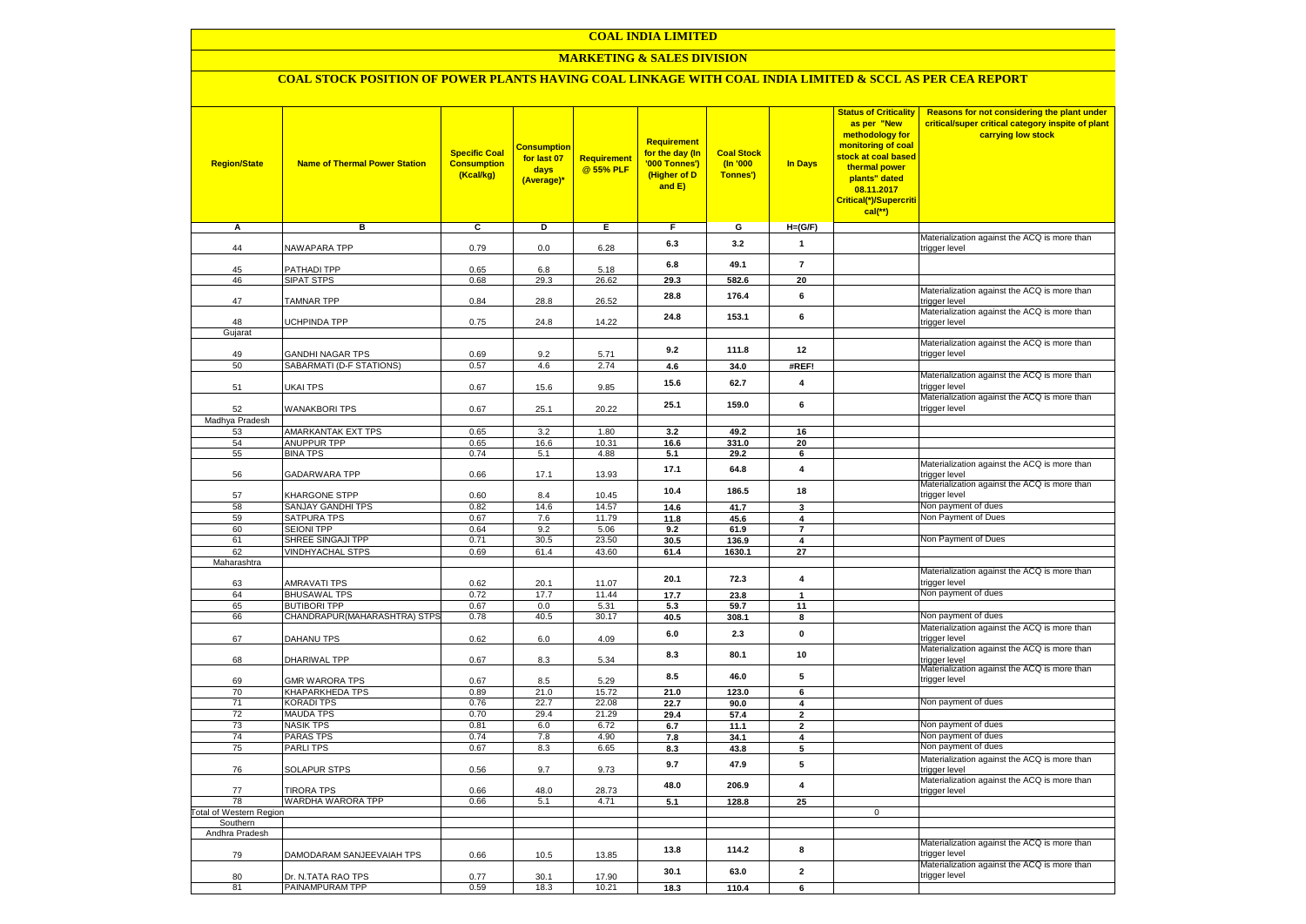### **MARKETING & SALES DIVISION**

### **COAL STOCK POSITION OF POWER PLANTS HAVING COAL LINKAGE WITH COAL INDIA LIMITED & SCCL AS PER CEA REPORT**

| <b>Region/State</b>                | <b>Name of Thermal Power Station</b>     | <b>Specific Coal</b><br><b>Consumption</b><br>(Kcal/kg) | <mark>Consumption</mark><br>for last 07<br>days<br>(Average)* | <b>Requirement</b><br>@ 55% PLF | <b>Requirement</b><br>for the day (In<br>'000 Tonnes')<br>(Higher of D<br>and E) | <b>Coal Stock</b><br>(In '000<br>Tonnes') | <b>In Days</b>               | <b>Status of Criticality</b><br>as per "New<br>methodology for<br>monitoring of coal<br>stock at coal based<br>thermal power<br>plants" dated<br>08.11.2017<br>Critical(*)/Supercriti<br>$cal$ (**) | Reasons for not considering the plant under<br>critical/super critical category inspite of plant<br>carrying low stock |
|------------------------------------|------------------------------------------|---------------------------------------------------------|---------------------------------------------------------------|---------------------------------|----------------------------------------------------------------------------------|-------------------------------------------|------------------------------|-----------------------------------------------------------------------------------------------------------------------------------------------------------------------------------------------------|------------------------------------------------------------------------------------------------------------------------|
| Α                                  | в                                        | c                                                       | Þ                                                             | Е                               | F                                                                                | G                                         | $H=(G/F)$                    |                                                                                                                                                                                                     |                                                                                                                        |
|                                    |                                          |                                                         |                                                               |                                 | 6.3                                                                              | 3.2                                       | $\mathbf{1}$                 |                                                                                                                                                                                                     | Materialization against the ACQ is more than                                                                           |
| 44                                 | <b>NAWAPARA TPP</b>                      | 0.79                                                    | 0.0                                                           | 6.28                            |                                                                                  |                                           |                              |                                                                                                                                                                                                     | trigger level                                                                                                          |
| 45                                 | <b>PATHADI TPP</b>                       | 0.65                                                    | 6.8                                                           | 5.18                            | 6.8                                                                              | 49.1                                      | $\overline{7}$               |                                                                                                                                                                                                     |                                                                                                                        |
| 46                                 | SIPAT STPS                               | 0.68                                                    | 29.3                                                          | 26.62                           | 29.3                                                                             | 582.6                                     | 20                           |                                                                                                                                                                                                     |                                                                                                                        |
| 47                                 | <b>TAMNAR TPP</b>                        | 0.84                                                    | 28.8                                                          | 26.52                           | 28.8                                                                             | 176.4                                     | 6                            |                                                                                                                                                                                                     | Materialization against the ACQ is more than<br>trigger level                                                          |
| 48                                 | <b>JCHPINDA TPP</b>                      | 0.75                                                    | 24.8                                                          | 14.22                           | 24.8                                                                             | 153.1                                     | 6                            |                                                                                                                                                                                                     | Materialization against the ACQ is more than                                                                           |
| Gujarat                            |                                          |                                                         |                                                               |                                 |                                                                                  |                                           |                              |                                                                                                                                                                                                     | trigger level                                                                                                          |
|                                    |                                          |                                                         |                                                               |                                 |                                                                                  |                                           | 12                           |                                                                                                                                                                                                     | Materialization against the ACQ is more than                                                                           |
| 49                                 | <b>GANDHI NAGAR TPS</b>                  | 0.69                                                    | 9.2                                                           | 5.71                            | 9.2                                                                              | 111.8                                     |                              |                                                                                                                                                                                                     | trigger level                                                                                                          |
| 50                                 | SABARMATI (D-F STATIONS)                 | 0.57                                                    | 4.6                                                           | 2.74                            | 4.6                                                                              | 34.0                                      | #REF!                        |                                                                                                                                                                                                     | Materialization against the ACQ is more than                                                                           |
| 51                                 | UKAI TPS                                 | 0.67                                                    | 15.6                                                          | 9.85                            | 15.6                                                                             | 62.7                                      | $\overline{\mathbf{4}}$      |                                                                                                                                                                                                     | trigger level                                                                                                          |
| 52                                 | <b>WANAKBORI TPS</b>                     | 0.67                                                    | 25.1                                                          | 20.22                           | 25.1                                                                             | 159.0                                     | 6                            |                                                                                                                                                                                                     | Materialization against the ACQ is more than<br>trigger level                                                          |
| Madhya Pradesh                     |                                          |                                                         |                                                               |                                 |                                                                                  |                                           |                              |                                                                                                                                                                                                     |                                                                                                                        |
| 53<br>54                           | AMARKANTAK EXT TPS<br><b>ANUPPUR TPP</b> | 0.65                                                    | 3.2<br>16.6                                                   | 1.80<br>10.31                   | 3.2                                                                              | 49.2                                      | 16                           |                                                                                                                                                                                                     |                                                                                                                        |
| 55                                 | <b>BINA TPS</b>                          | 0.65<br>0.74                                            | 5.1                                                           | 4.88                            | 16.6<br>5.1                                                                      | 331.0<br>29.2                             | 20<br>6                      |                                                                                                                                                                                                     |                                                                                                                        |
|                                    |                                          |                                                         |                                                               |                                 |                                                                                  |                                           | $\overline{\mathbf{4}}$      |                                                                                                                                                                                                     | Materialization against the ACQ is more than                                                                           |
| 56                                 | GADARWARA TPP                            | 0.66                                                    | 17.1                                                          | 13.93                           | 17.1                                                                             | 64.8                                      |                              |                                                                                                                                                                                                     | trigger level<br>Materialization against the ACQ is more than                                                          |
| 57                                 | KHARGONE STPP                            | 0.60                                                    | 8.4                                                           | 10.45                           | 10.4                                                                             | 186.5                                     | 18                           |                                                                                                                                                                                                     | trigger level                                                                                                          |
| 58                                 | SANJAY GANDHI TPS                        | 0.82                                                    | 14.6                                                          | 14.57                           | 14.6                                                                             | 41.7                                      | 3                            |                                                                                                                                                                                                     | Non payment of dues                                                                                                    |
| 59                                 | SATPURA TPS                              | 0.67                                                    | 7.6                                                           | 11.79                           | 11.8                                                                             | 45.6                                      | 4                            |                                                                                                                                                                                                     | Non Payment of Dues                                                                                                    |
| 60<br>61                           | <b>SEIONI TPP</b><br>SHREE SINGAJI TPP   | 0.64<br>0.71                                            | 9.2<br>30.5                                                   | 5.06<br>23.50                   | 9.2<br>30.5                                                                      | 61.9<br>136.9                             | $\overline{\mathbf{r}}$<br>4 |                                                                                                                                                                                                     | Non Payment of Dues                                                                                                    |
| 62                                 | <b>VINDHYACHAL STPS</b>                  | 0.69                                                    | 61.4                                                          | 43.60                           | 61.4                                                                             | 1630.1                                    | 27                           |                                                                                                                                                                                                     |                                                                                                                        |
| Maharashtra                        |                                          |                                                         |                                                               |                                 |                                                                                  |                                           |                              |                                                                                                                                                                                                     |                                                                                                                        |
|                                    |                                          |                                                         |                                                               |                                 | 20.1                                                                             | 72.3                                      | $\overline{\mathbf{4}}$      |                                                                                                                                                                                                     | Materialization against the ACQ is more than                                                                           |
| 63<br>64                           | AMRAVATI TPS<br><b>BHUSAWAL TPS</b>      | 0.62<br>0.72                                            | 20.1<br>17.7                                                  | 11.07<br>11.44                  | 17.7                                                                             | 23.8                                      | $\mathbf{1}$                 |                                                                                                                                                                                                     | trigger level<br>Non payment of dues                                                                                   |
| 65                                 | <b>BUTIBORI TPP</b>                      | 0.67                                                    | 0.0                                                           | 5.31                            | 5.3                                                                              | 59.7                                      | 11                           |                                                                                                                                                                                                     |                                                                                                                        |
| 66                                 | CHANDRAPUR(MAHARASHTRA) STPS             | 0.78                                                    | 40.5                                                          | 30.17                           | 40.5                                                                             | 308.1                                     | 8                            |                                                                                                                                                                                                     | Non payment of dues                                                                                                    |
|                                    |                                          |                                                         |                                                               |                                 | 6.0                                                                              | 2.3                                       | $\pmb{0}$                    |                                                                                                                                                                                                     | Materialization against the ACQ is more than                                                                           |
| 67                                 | DAHANU TPS                               | 0.62                                                    | $6.0\,$                                                       | 4.09                            |                                                                                  |                                           |                              |                                                                                                                                                                                                     | trigger level                                                                                                          |
| 68                                 | DHARIWAL TPP                             | 0.67                                                    | 8.3                                                           | 5.34                            | 8.3                                                                              | 80.1                                      | 10                           |                                                                                                                                                                                                     | Materialization against the ACQ is more than<br>trigger level                                                          |
| 69                                 | <b>GMR WARORA TPS</b>                    | 0.67                                                    | 8.5                                                           | 5.29                            | 8.5                                                                              | 46.0                                      | 5                            |                                                                                                                                                                                                     | Materialization against the ACQ is more than<br>trigger level                                                          |
| 70                                 | KHAPARKHEDA TPS                          | 0.89                                                    | 21.0                                                          | 15.72                           | 21.0                                                                             | 123.0                                     | 6                            |                                                                                                                                                                                                     |                                                                                                                        |
| 71<br>72                           | KORADI TPS<br><b>MAUDA TPS</b>           | 0.76<br>0.70                                            | 22.7<br>29.4                                                  | 22.08<br>21.29                  | 22.7<br>29.4                                                                     | 90.0<br>57.4                              | 4<br>$\mathbf{2}$            |                                                                                                                                                                                                     | Non payment of dues                                                                                                    |
| 73                                 | <b>NASIK TPS</b>                         | 0.81                                                    | 6.0                                                           | 6.72                            | 6.7                                                                              | 11.1                                      | $\mathbf{2}$                 |                                                                                                                                                                                                     | Non payment of dues                                                                                                    |
| 74                                 | <b>PARAS TPS</b>                         | 0.74                                                    | 7.8                                                           | 4.90                            | 7.8                                                                              | 34.1                                      | 4                            |                                                                                                                                                                                                     | Non payment of dues                                                                                                    |
| 75                                 | <b>PARLITPS</b>                          | 0.67                                                    | 8.3                                                           | 6.65                            | 8.3                                                                              | 43.8                                      | 5                            |                                                                                                                                                                                                     | Non payment of dues                                                                                                    |
| 76                                 | <b>SOLAPUR STPS</b>                      | 0.56                                                    | 9.7                                                           | 9.73                            | 9.7                                                                              | 47.9                                      | 5                            |                                                                                                                                                                                                     | Materialization against the ACQ is more than<br>trigger level                                                          |
| 77                                 | <b>TIRORA TPS</b>                        | 0.66                                                    | 48.0                                                          | 28.73                           | 48.0                                                                             | 206.9                                     | $\overline{\mathbf{4}}$      |                                                                                                                                                                                                     | Materialization against the ACQ is more than<br>trigger level                                                          |
| 78                                 | WARDHA WARORA TPP                        | 0.66                                                    | 5.1                                                           | 4.71                            | 5.1                                                                              | 128.8                                     | 25                           |                                                                                                                                                                                                     |                                                                                                                        |
| otal of Western Region<br>Southern |                                          |                                                         |                                                               |                                 |                                                                                  |                                           |                              | $\mathbf 0$                                                                                                                                                                                         |                                                                                                                        |
| Andhra Pradesh                     |                                          |                                                         |                                                               |                                 |                                                                                  |                                           |                              |                                                                                                                                                                                                     |                                                                                                                        |
| 79                                 | DAMODARAM SANJEEVAIAH TPS                | 0.66                                                    | 10.5                                                          | 13.85                           | 13.8                                                                             | 114.2                                     | 8                            |                                                                                                                                                                                                     | Materialization against the ACQ is more than<br>trigger level                                                          |
| 80                                 | Dr. N.TATA RAO TPS                       | 0.77                                                    | 30.1                                                          | 17.90                           | 30.1                                                                             | 63.0                                      | $\mathbf{2}$                 |                                                                                                                                                                                                     | Materialization against the ACQ is more than<br>trigger level                                                          |
| 81                                 | PAINAMPURAM TPP                          | 0.59                                                    | 18.3                                                          | 10.21                           | 18.3                                                                             | 110.4                                     | 6                            |                                                                                                                                                                                                     |                                                                                                                        |
|                                    |                                          |                                                         |                                                               |                                 |                                                                                  |                                           |                              |                                                                                                                                                                                                     |                                                                                                                        |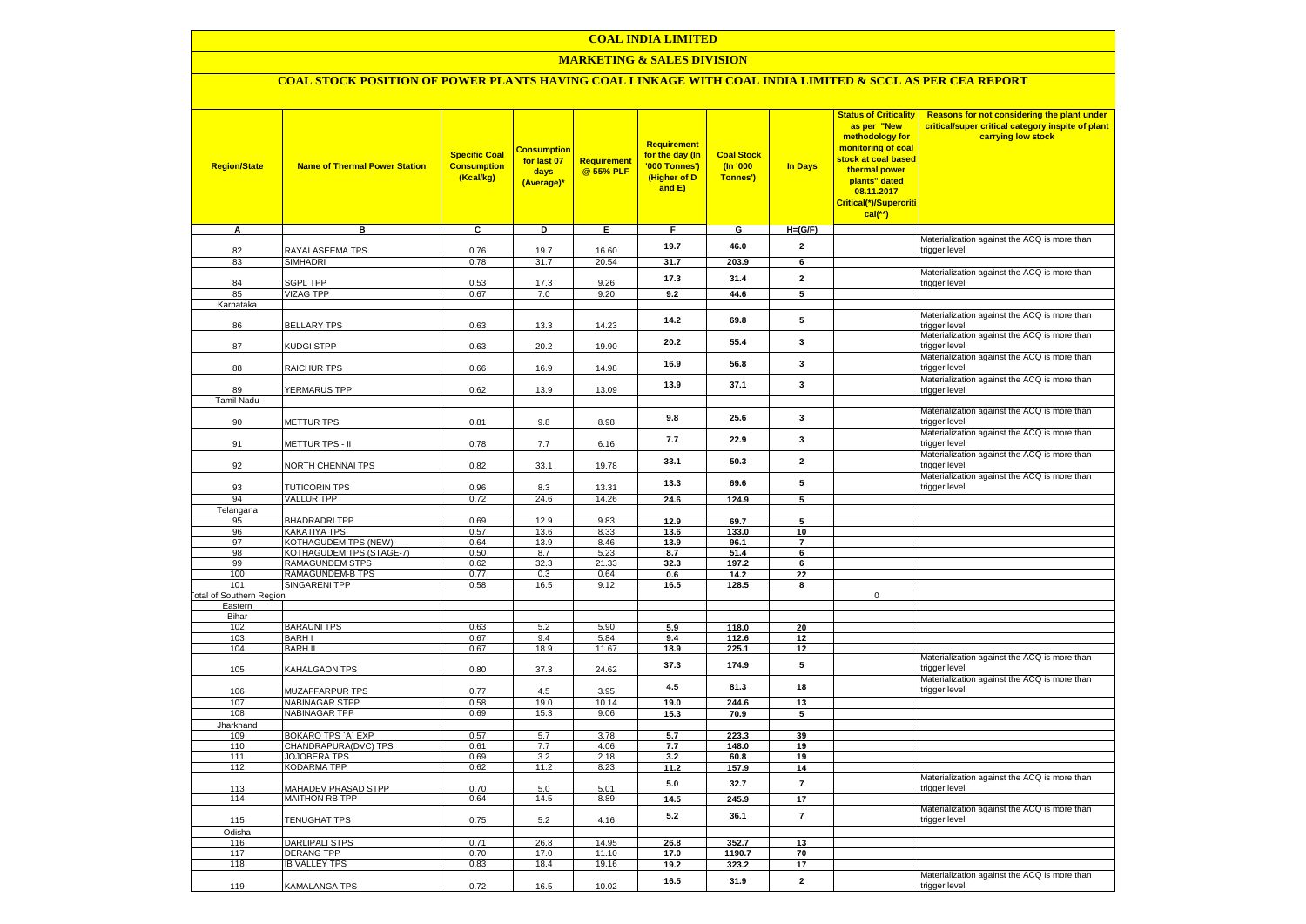### **MARKETING & SALES DIVISION**

# **COAL STOCK POSITION OF POWER PLANTS HAVING COAL LINKAGE WITH COAL INDIA LIMITED & SCCL AS PER CEA REPORT**

| <b>Region/State</b>             | <b>Name of Thermal Power Station</b> | <b>Specific Coal</b><br><b>Consumption</b><br>(Kcal/kg) | <b>Consumption</b><br>for last 07<br>days<br>(Average)* | <b>Requirement</b><br>@ 55% PLF | Requirement<br>for the day (In<br>'000 Tonnes')<br>(Higher of D<br>and E) | <b>Coal Stock</b><br>$($ ln '000<br>Tonnes') | In Days                 | <b>Status of Criticality</b><br>as per "New<br>methodology for<br>monitoring of coal<br>stock at coal based<br>thermal power<br>plants" dated<br>08.11.2017<br>Critical(*)/Supercriti<br>$cal$ (**) | Reasons for not considering the plant under<br>critical/super critical category inspite of plant<br>carrying low stock |
|---------------------------------|--------------------------------------|---------------------------------------------------------|---------------------------------------------------------|---------------------------------|---------------------------------------------------------------------------|----------------------------------------------|-------------------------|-----------------------------------------------------------------------------------------------------------------------------------------------------------------------------------------------------|------------------------------------------------------------------------------------------------------------------------|
| A                               | в                                    | c                                                       | D                                                       | Е                               | F.                                                                        | G                                            | $H=(G/F)$               |                                                                                                                                                                                                     |                                                                                                                        |
| 82                              | RAYALASEEMA TPS                      | 0.76                                                    | 19.7                                                    | 16.60                           | 19.7                                                                      | 46.0                                         | $\overline{2}$          |                                                                                                                                                                                                     | Materialization against the ACQ is more than<br>trigger level                                                          |
| 83                              | SIMHADRI                             | 0.78                                                    | 31.7                                                    | 20.54                           | 31.7                                                                      | 203.9                                        | 6                       |                                                                                                                                                                                                     |                                                                                                                        |
|                                 |                                      |                                                         |                                                         |                                 | 17.3                                                                      | 31.4                                         | $\overline{2}$          |                                                                                                                                                                                                     | Materialization against the ACQ is more than                                                                           |
| 84                              | <b>SGPL TPP</b>                      | 0.53                                                    | 17.3                                                    | 9.26                            |                                                                           |                                              |                         |                                                                                                                                                                                                     | trigger level                                                                                                          |
| 85<br>Karnataka                 | <b>VIZAG TPP</b>                     | 0.67                                                    | 7.0                                                     | 9.20                            | 9.2                                                                       | 44.6                                         | 5                       |                                                                                                                                                                                                     |                                                                                                                        |
|                                 |                                      |                                                         |                                                         |                                 |                                                                           |                                              |                         |                                                                                                                                                                                                     | Materialization against the ACQ is more than                                                                           |
| 86                              | <b>BELLARY TPS</b>                   | 0.63                                                    | 13.3                                                    | 14.23                           | 14.2                                                                      | 69.8                                         | 5                       |                                                                                                                                                                                                     | trigger level                                                                                                          |
| 87                              | KUDGI STPP                           | 0.63                                                    | 20.2                                                    | 19.90                           | 20.2                                                                      | 55.4                                         | 3                       |                                                                                                                                                                                                     | Materialization against the ACQ is more than<br>trigger level                                                          |
| 88                              | <b>RAICHUR TPS</b>                   | 0.66                                                    | 16.9                                                    | 14.98                           | 16.9                                                                      | 56.8                                         | $\mathbf{3}$            |                                                                                                                                                                                                     | Materialization against the ACQ is more than<br>trigger level                                                          |
| 89                              | <b>YERMARUS TPP</b>                  | 0.62                                                    |                                                         | 13.09                           | 13.9                                                                      | 37.1                                         | $\mathbf{3}$            |                                                                                                                                                                                                     | Materialization against the ACQ is more than                                                                           |
| <b>Tamil Nadu</b>               |                                      |                                                         | 13.9                                                    |                                 |                                                                           |                                              |                         |                                                                                                                                                                                                     | trigger level                                                                                                          |
| 90                              | <b>METTUR TPS</b>                    | 0.81                                                    | 9.8                                                     | 8.98                            | 9.8                                                                       | 25.6                                         | 3                       |                                                                                                                                                                                                     | Materialization against the ACQ is more than<br>trigger level                                                          |
|                                 |                                      |                                                         |                                                         |                                 | 7.7                                                                       | 22.9                                         | 3                       |                                                                                                                                                                                                     | Materialization against the ACQ is more than<br>trigger level                                                          |
| 91                              | METTUR TPS - II                      | 0.78                                                    | 7.7                                                     | 6.16                            | 33.1                                                                      | 50.3                                         | $\overline{2}$          |                                                                                                                                                                                                     | Materialization against the ACQ is more than                                                                           |
| 92                              | <b>VORTH CHENNAI TPS</b>             | 0.82                                                    | 33.1                                                    | 19.78                           |                                                                           |                                              |                         |                                                                                                                                                                                                     | trigger level<br>Materialization against the ACQ is more than                                                          |
| 93                              | <b>TUTICORIN TPS</b>                 | 0.96                                                    | 8.3                                                     | 13.31                           | 13.3                                                                      | 69.6                                         | 5                       |                                                                                                                                                                                                     | trigger level                                                                                                          |
| 94                              | <b>VALLUR TPP</b>                    | 0.72                                                    | 24.6                                                    | 14.26                           | 24.6                                                                      | 124.9                                        | $\overline{5}$          |                                                                                                                                                                                                     |                                                                                                                        |
| Telangana                       |                                      |                                                         |                                                         |                                 |                                                                           |                                              |                         |                                                                                                                                                                                                     |                                                                                                                        |
| 95                              | <b>BHADRADRI TPP</b>                 | 0.69                                                    | 12.9                                                    | 9.83                            | 12.9                                                                      | 69.7                                         | 5                       |                                                                                                                                                                                                     |                                                                                                                        |
| 96<br>97                        | KAKATIYA TPS<br>KOTHAGUDEM TPS (NEW) | 0.57<br>0.64                                            | 13.6<br>13.9                                            | 8.33<br>8.46                    | 13.6<br>13.9                                                              | 133.0<br>96.1                                | 10<br>$\overline{7}$    |                                                                                                                                                                                                     |                                                                                                                        |
| 98                              | KOTHAGUDEM TPS (STAGE-7)             | 0.50                                                    | 8.7                                                     | 5.23                            | 8.7                                                                       | 51.4                                         | 6                       |                                                                                                                                                                                                     |                                                                                                                        |
| 99                              | <b>RAMAGUNDEM STPS</b>               | 0.62                                                    | 32.3                                                    | 21.33                           | 32.3                                                                      | 197.2                                        | 6                       |                                                                                                                                                                                                     |                                                                                                                        |
| 100                             | <b>RAMAGUNDEM-B TPS</b>              | 0.77                                                    | 0.3                                                     | 0.64                            | 0.6                                                                       | 14.2                                         | 22                      |                                                                                                                                                                                                     |                                                                                                                        |
| 101                             | <b>SINGARENI TPP</b>                 | 0.58                                                    | 16.5                                                    | 9.12                            | 16.5                                                                      | 128.5                                        | 8                       |                                                                                                                                                                                                     |                                                                                                                        |
| <b>Fotal of Southern Region</b> |                                      |                                                         |                                                         |                                 |                                                                           |                                              |                         | $\mathbf 0$                                                                                                                                                                                         |                                                                                                                        |
| Eastern<br>Bihar                |                                      |                                                         |                                                         |                                 |                                                                           |                                              |                         |                                                                                                                                                                                                     |                                                                                                                        |
| 102                             | <b>BARAUNI TPS</b>                   | 0.63                                                    | 5.2                                                     | 5.90                            | 5.9                                                                       | 118.0                                        | 20                      |                                                                                                                                                                                                     |                                                                                                                        |
| 103                             | <b>BARHI</b>                         | 0.67                                                    | 9.4                                                     | 5.84                            | 9.4                                                                       | 112.6                                        | 12                      |                                                                                                                                                                                                     |                                                                                                                        |
| 104                             | <b>BARH II</b>                       | 0.67                                                    | 18.9                                                    | 11.67                           | 18.9                                                                      | 225.1                                        | 12                      |                                                                                                                                                                                                     |                                                                                                                        |
| 105                             | KAHALGAON TPS                        | 0.80                                                    | 37.3                                                    | 24.62                           | 37.3                                                                      | 174.9                                        | 5                       |                                                                                                                                                                                                     | Materialization against the ACQ is more than<br>trigger level                                                          |
| 106                             | MUZAFFARPUR TPS                      | 0.77                                                    | 4.5                                                     | 3.95                            | 4.5                                                                       | 81.3                                         | 18                      |                                                                                                                                                                                                     | Materialization against the ACQ is more than<br>trigger level                                                          |
| 107                             | <b>NABINAGAR STPP</b>                | 0.58                                                    | 19.0                                                    | 10.14                           | 19.0                                                                      | 244.6                                        | 13                      |                                                                                                                                                                                                     |                                                                                                                        |
| 108                             | <b>NABINAGAR TPP</b>                 | 0.69                                                    | 15.3                                                    | 9.06                            | 15.3                                                                      | 70.9                                         | 5                       |                                                                                                                                                                                                     |                                                                                                                        |
| Jharkhand                       | BOKARO TPS `A` EXP                   | 0.57                                                    | 5.7                                                     | 3.78                            | 5.7                                                                       | 223.3                                        | 39                      |                                                                                                                                                                                                     |                                                                                                                        |
| 109<br>110                      | CHANDRAPURA(DVC) TPS                 | 0.61                                                    | 7.7                                                     | 4.06                            | 7.7                                                                       | 148.0                                        | 19                      |                                                                                                                                                                                                     |                                                                                                                        |
| 111                             | <b>JOJOBERA TPS</b>                  | 0.69                                                    | 3.2                                                     | 2.18                            | 3.2                                                                       | 60.8                                         | 19                      |                                                                                                                                                                                                     |                                                                                                                        |
| 112                             | KODARMA TPP                          | 0.62                                                    | 11.2                                                    | 8.23                            | 11.2                                                                      | 157.9                                        | 14                      |                                                                                                                                                                                                     |                                                                                                                        |
| 113                             | <b>MAHADEV PRASAD STPP</b>           | 0.70                                                    | 5.0                                                     | 5.01                            | 5.0                                                                       | 32.7                                         | $\overline{7}$          |                                                                                                                                                                                                     | Materialization against the ACQ is more than<br>trigger level                                                          |
| 114                             | <b>MAITHON RB TPP</b>                | 0.64                                                    | 14.5                                                    | 8.89                            | 14.5                                                                      | 245.9                                        | 17                      |                                                                                                                                                                                                     |                                                                                                                        |
| 115                             | <b>TENUGHAT TPS</b>                  | 0.75                                                    | 5.2                                                     | 4.16                            | 5.2                                                                       | 36.1                                         | $\overline{7}$          |                                                                                                                                                                                                     | Materialization against the ACQ is more than<br>trigger level                                                          |
| Odisha                          |                                      |                                                         |                                                         |                                 |                                                                           |                                              |                         |                                                                                                                                                                                                     |                                                                                                                        |
| 116                             | <b>DARLIPALI STPS</b>                | 0.71                                                    | 26.8                                                    | 14.95                           | 26.8                                                                      | 352.7                                        | 13                      |                                                                                                                                                                                                     |                                                                                                                        |
| 117<br>118                      | <b>DERANG TPP</b>                    | 0.70                                                    | 17.0<br>18.4                                            | 11.10<br>19.16                  | 17.0                                                                      | 1190.7                                       | 70                      |                                                                                                                                                                                                     |                                                                                                                        |
|                                 | <b>IB VALLEY TPS</b>                 | 0.83                                                    |                                                         |                                 | 19.2                                                                      | 323.2                                        | 17                      |                                                                                                                                                                                                     | Materialization against the ACQ is more than                                                                           |
| 119                             | KAMALANGA TPS                        | 0.72                                                    | 16.5                                                    | 10.02                           | 16.5                                                                      | 31.9                                         | $\overline{\mathbf{2}}$ |                                                                                                                                                                                                     | trigger level                                                                                                          |